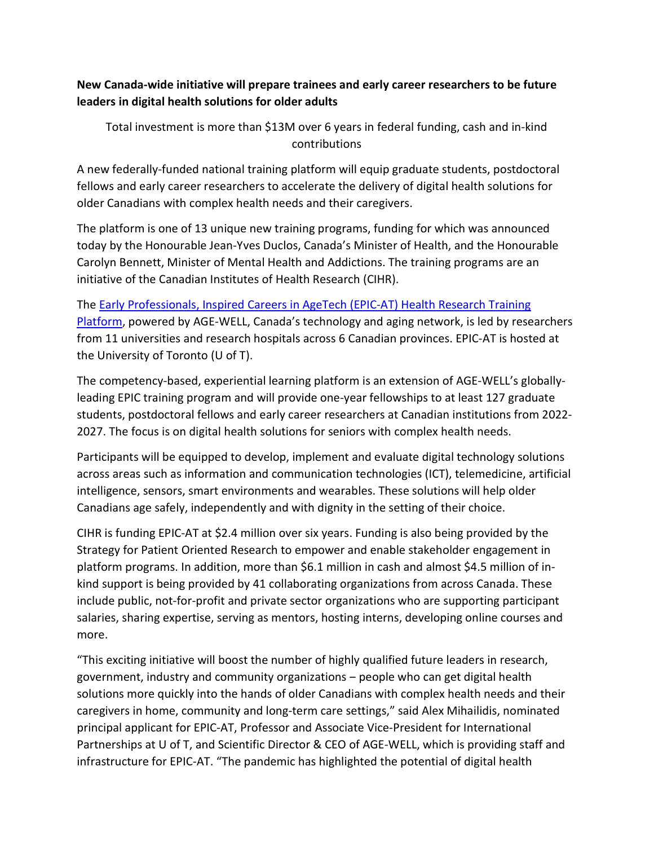## New Canada-wide initiative will prepare trainees and early career researchers to be future leaders in digital health solutions for older adults

Total investment is more than \$13M over 6 years in federal funding, cash and in-kind contributions

A new federally-funded national training platform will equip graduate students, postdoctoral fellows and early career researchers to accelerate the delivery of digital health solutions for older Canadians with complex health needs and their caregivers.

The platform is one of 13 unique new training programs, funding for which was announced today by the Honourable Jean-Yves Duclos, Canada's Minister of Health, and the Honourable Carolyn Bennett, Minister of Mental Health and Addictions. The training programs are an initiative of the Canadian Institutes of Health Research (CIHR).

The Early Professionals, Inspired Careers in AgeTech (EPIC-AT) Health Research Training Platform, powered by AGE-WELL, Canada's technology and aging network, is led by researchers from 11 universities and research hospitals across 6 Canadian provinces. EPIC-AT is hosted at the University of Toronto (U of T).

The competency-based, experiential learning platform is an extension of AGE-WELL's globallyleading EPIC training program and will provide one-year fellowships to at least 127 graduate students, postdoctoral fellows and early career researchers at Canadian institutions from 2022- 2027. The focus is on digital health solutions for seniors with complex health needs.

Participants will be equipped to develop, implement and evaluate digital technology solutions across areas such as information and communication technologies (ICT), telemedicine, artificial intelligence, sensors, smart environments and wearables. These solutions will help older Canadians age safely, independently and with dignity in the setting of their choice.

CIHR is funding EPIC-AT at \$2.4 million over six years. Funding is also being provided by the Strategy for Patient Oriented Research to empower and enable stakeholder engagement in platform programs. In addition, more than \$6.1 million in cash and almost \$4.5 million of inkind support is being provided by 41 collaborating organizations from across Canada. These include public, not-for-profit and private sector organizations who are supporting participant salaries, sharing expertise, serving as mentors, hosting interns, developing online courses and more.

"This exciting initiative will boost the number of highly qualified future leaders in research, government, industry and community organizations – people who can get digital health solutions more quickly into the hands of older Canadians with complex health needs and their caregivers in home, community and long-term care settings," said Alex Mihailidis, nominated principal applicant for EPIC-AT, Professor and Associate Vice-President for International Partnerships at U of T, and Scientific Director & CEO of AGE-WELL, which is providing staff and infrastructure for EPIC-AT. "The pandemic has highlighted the potential of digital health